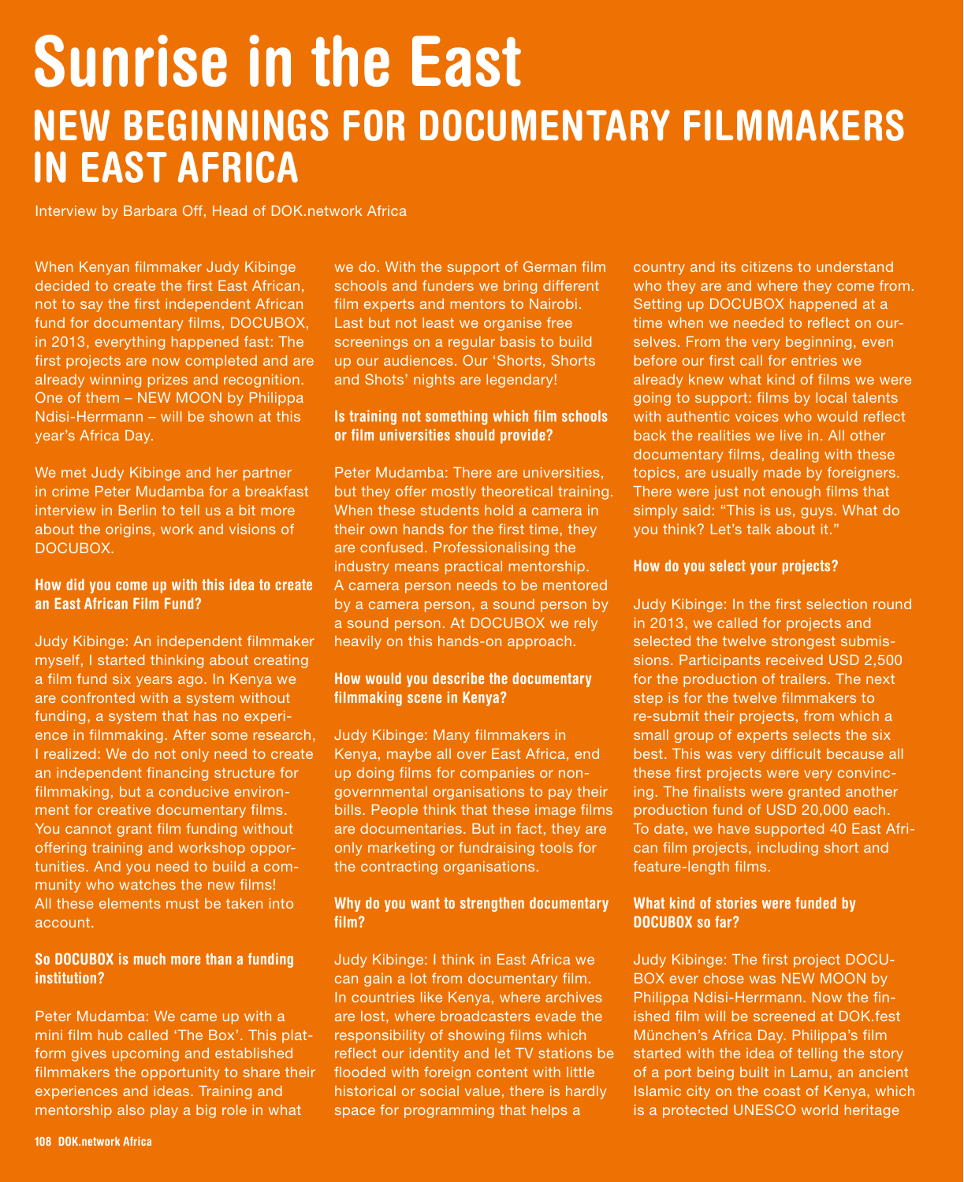# Sunrise in the East NEW BEGINNINGS FOR DOCUMENTARY FILMMAKERS IN EAST AFRICA

Interview by Barbara Off, Head of DOK.network Africa

When Kenyan filmmaker Judy Kibinge decided to create the first East African, not to say the first independent African fund for documentary films, DOCUBOX, in 2013, everything happened fast: The first projects are now completed and are already winning prizes and recognition. One of them – NEW MOON by Philippa Ndisi-Herrmann – will be shown at this year's Africa Day.

We met Judy Kibinge and her partner in crime Peter Mudamba for a breakfast interview in Berlin to tell us a bit more about the origins, work and visions of DOCUBOX.

#### How did you come up with this idea to create an East African Film Fund?

Judy Kibinge: An independent filmmaker myself, I started thinking about creating a film fund six years ago. In Kenya we are confronted with a system without funding, a system that has no experience in filmmaking. After some research, I realized: We do not only need to create an independent financing structure for filmmaking, but a conducive environment for creative documentary films. You cannot grant film funding without offering training and workshop opportunities. And you need to build a community who watches the new films! All these elements must be taken into account.

#### So DOCUBOX is much more than a funding institution?

Peter Mudamba: We came up with a mini film hub called 'The Box'. This platform gives upcoming and established filmmakers the opportunity to share their experiences and ideas. Training and mentorship also play a big role in what

we do. With the support of German film schools and funders we bring different film experts and mentors to Nairobi. Last but not least we organise free screenings on a regular basis to build up our audiences. Our 'Shorts, Shorts and Shots' nights are legendary!

#### Is training not something which film schools or film universities should provide?

Peter Mudamba: There are universities, but they offer mostly theoretical training. When these students hold a camera in their own hands for the first time, they are confused. Professionalising the industry means practical mentorship. A camera person needs to be mentored by a camera person, a sound person by a sound person. At DOCUBOX we rely heavily on this hands-on approach.

#### How would you describe the documentary filmmaking scene in Kenya?

Judy Kibinge: Many filmmakers in Kenya, maybe all over East Africa, end up doing films for companies or nongovernmental organisations to pay their bills. People think that these image films are documentaries. But in fact, they are only marketing or fundraising tools for the contracting organisations.

#### Why do you want to strengthen documentary film?

Judy Kibinge: I think in East Africa we can gain a lot from documentary film. In countries like Kenya, where archives are lost, where broadcasters evade the responsibility of showing films which reflect our identity and let TV stations be flooded with foreign content with little historical or social value, there is hardly space for programming that helps a

country and its citizens to understand who they are and where they come from. Setting up DOCUBOX happened at a time when we needed to reflect on ourselves. From the very beginning, even before our first call for entries we already knew what kind of films we were going to support: films by local talents with authentic voices who would reflect back the realities we live in. All other documentary films, dealing with these topics, are usually made by foreigners. There were just not enough films that simply said: "This is us, guys. What do you think? Let's talk about it."

#### How do you select your projects?

Judy Kibinge: In the first selection round in 2013, we called for projects and selected the twelve strongest submissions. Participants received USD 2,500 for the production of trailers. The next step is for the twelve filmmakers to re-submit their projects, from which a small group of experts selects the six best. This was very difficult because all these first projects were very convincing. The finalists were granted another production fund of USD 20,000 each. To date, we have supported 40 East African film projects, including short and feature-length films.

#### What kind of stories were funded by DOCUBOX so far?

Judy Kibinge: The first project DOCU-BOX ever chose was NEW MOON by Philippa Ndisi-Herrmann. Now the finished film will be screened at DOK.fest München's Africa Day. Philippa's film started with the idea of telling the story of a port being built in Lamu, an ancient Islamic city on the coast of Kenya, which is a protected UNESCO world heritage